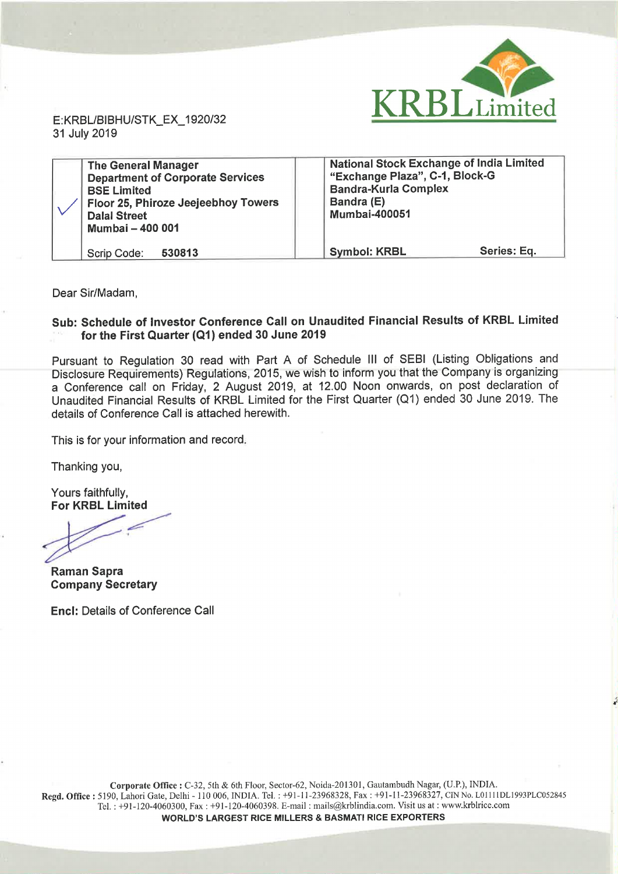

E:KRBL/BlBHU/STK\_EX\_1920/32 <sup>31</sup> July 2019

| <b>The General Manager</b><br><b>Department of Corporate Services</b><br><b>BSE Limited</b><br>Floor 25, Phiroze Jeejeebhoy Towers<br><b>Dalal Street</b><br><b>Mumbai - 400 001</b> | <b>National Stock Exchange of India Limited</b><br>"Exchange Plaza", C-1, Block-G<br><b>Bandra-Kurla Complex</b><br>Bandra (E)<br><b>Mumbai-400051</b> |
|--------------------------------------------------------------------------------------------------------------------------------------------------------------------------------------|--------------------------------------------------------------------------------------------------------------------------------------------------------|
| 530813<br>Scrip Code:                                                                                                                                                                | Series: Eq.<br><b>Symbol: KRBL</b>                                                                                                                     |

Dear Sir/Madam,

## Sub: Schedule of Investor Conference Call on Unaudited Financial Results of KRBL Limited for the First Quarter (Q1) ended 30 June 2019

Pursuant to Regulation <sup>30</sup> read with Part A of Schedule III of SEBI (Listing Obligations and Disclosure Requirements) Regulations, 2015, we wish to inform you that the Company is organizing <sup>a</sup> Conference call on Friday, <sup>2</sup> August 2019, at 12.00 Noon onwards, on post declaration of Unaudited Financial Results of KRBL Limited for the First Quarter (Q1) ended 30 June 2019. The details of Conference Call is attached herewith.

This is for your information and record.

Thanking you,

Yours faithfully, For KRBL Limited

informat<br>ited<br>Alternative

Raman Sapra Company Secretary

Encl: Details of Conference Call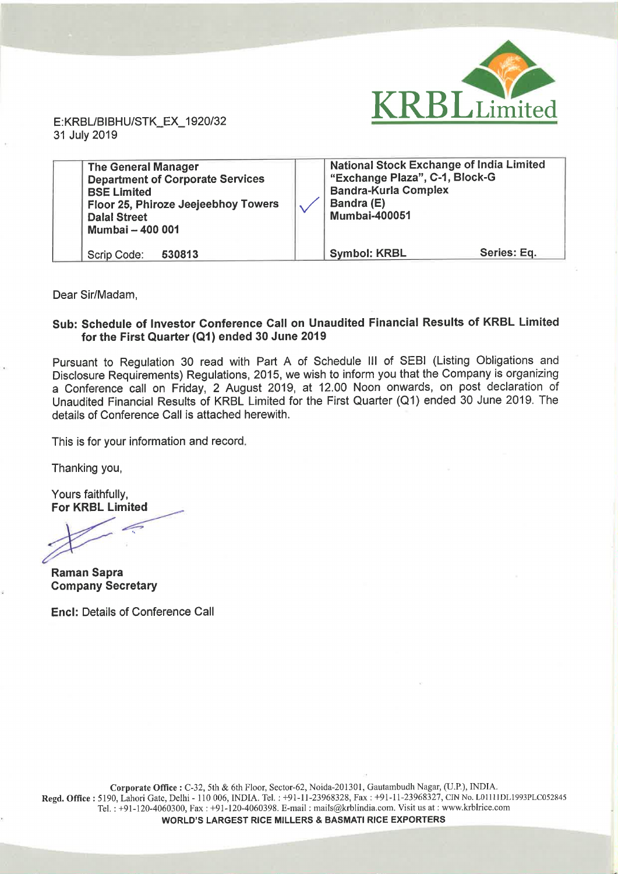

E:KRBL/BlBHU/STK\_EX\_1920/32 <sup>31</sup> July 2019

| <b>The General Manager</b><br><b>Department of Corporate Services</b><br><b>BSE Limited</b><br>Floor 25, Phiroze Jeejeebhoy Towers<br><b>Dalal Street</b><br>Mumbai - 400 001 | <b>National Stock Exchange of India Limited</b><br>"Exchange Plaza", C-1, Block-G<br><b>Bandra-Kurla Complex</b><br>Bandra (E)<br><b>Mumbai-400051</b> |
|-------------------------------------------------------------------------------------------------------------------------------------------------------------------------------|--------------------------------------------------------------------------------------------------------------------------------------------------------|
| 530813                                                                                                                                                                        | Series: Eq.                                                                                                                                            |
| Scrip Code:                                                                                                                                                                   | <b>Symbol: KRBL</b>                                                                                                                                    |

Dear Sir/Madam,

## Sub: Schedule of Investor Conference Call on Unaudited Financial Results of KRBL Limited for the First Quarter (Q1) ended 30 June 2019

Pursuant to Regulation 30 read with Part A of Schedule III of SEBI (Listing Obligations and Disclosure Requirements) Regulations, 2015, we wish to inform you that the Company is organizing <sup>a</sup> Conference call on Friday, <sup>2</sup> August 2019, at 12.00 Noon onwards, on post declaration of Unaudited Financial Results of KRBL Limited for the First Quarter (Q1) ended 30 June 2019. The details of Conference Call is attached herewith.

This is for your information and record.

Thanking you,

Yours faithfully, For KRBL Limited

.p-J

Raman Sapra Company Secretary

Encl: Details of Conference Call